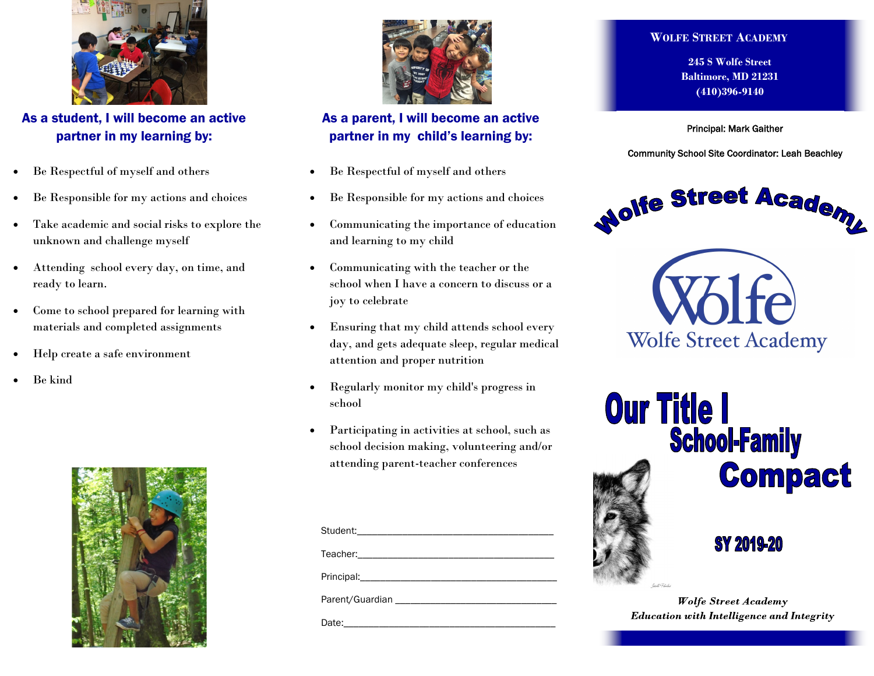

As a student, I will become an active partner in my learning by:

- Be Respectful of myself and others
- Be Responsible for my actions and choices
- Take academic and social risks to explore the unknown and challenge myself
- Attending school every day, on time, and ready to learn.
- Come to school prepared for learning with materials and completed assignments
- Help create a safe environment
- Be kind





## As a parent, I will become an active partner in my child's learning by:

- Be Respectful of myself and others
- Be Responsible for my actions and choices
- Communicating the importance of education and learning to my child
- Communicating with the teacher or the school when I have a concern to discuss or a joy to celebrate
- Ensuring that my child attends school every day, and gets adequate sleep, regular medical attention and proper nutrition
- Regularly monitor my child's progress in school
- Participating in activities at school, such as school decision making, volunteering and/or attending parent-teacher conferences

## **WOLFE STREET ACADEMY**

**245 S Wolfe Street Baltimore, MD 21231 (410)396-9140**

Principal: Mark Gaither

Community School Site Coordinator: Leah Beachley



**Wolfe Street Academy** 



**Wolfe Street Academy Education with Intelligence and Integrity**